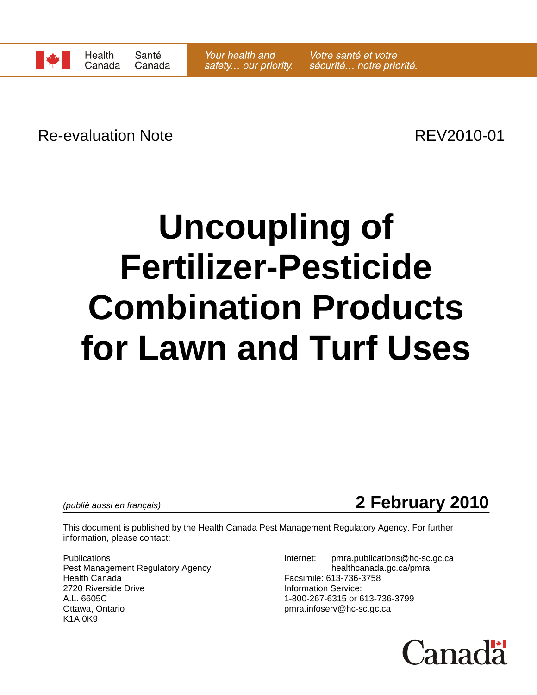

Re-evaluation Note **REV2010-01** 

# **Uncoupling of Fertilizer-Pesticide Combination Products for Lawn and Turf Uses**

*(publié aussi en français)* **2 February 2010**

This document is published by the Health Canada Pest Management Regulatory Agency. For further information, please contact:

Pest Management Regulatory Agency healthcanada.gc.ca/pmra Health Canada Facsimile: 613-736-3758 2720 Riverside Drive **Information Service:** A.L. 6605C 1-800-267-6315 or 613-736-3799 K1A 0K9

Publications **Internet:** pmra.publications @hc-sc.gc.ca pmra.infoserv@hc-sc.gc.ca

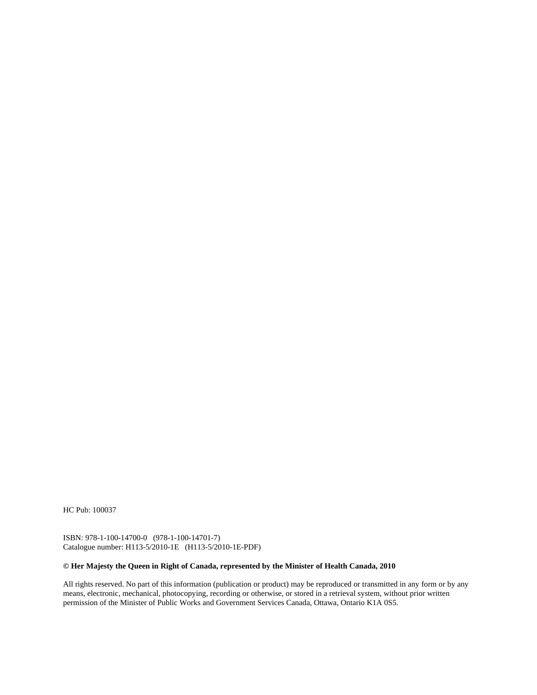HC Pub: 100037

ISBN: 978-1-100-14700-0 (978-1-100-14701-7) Catalogue number: H113-5/2010-1E (H113-5/2010-1E-PDF)

#### **© Her Majesty the Queen in Right of Canada, represented by the Minister of Health Canada, 2010**

All rights reserved. No part of this information (publication or product) may be reproduced or transmitted in any form or by any means, electronic, mechanical, photocopying, recording or otherwise, or stored in a retrieval system, without prior written permission of the Minister of Public Works and Government Services Canada, Ottawa, Ontario K1A 0S5.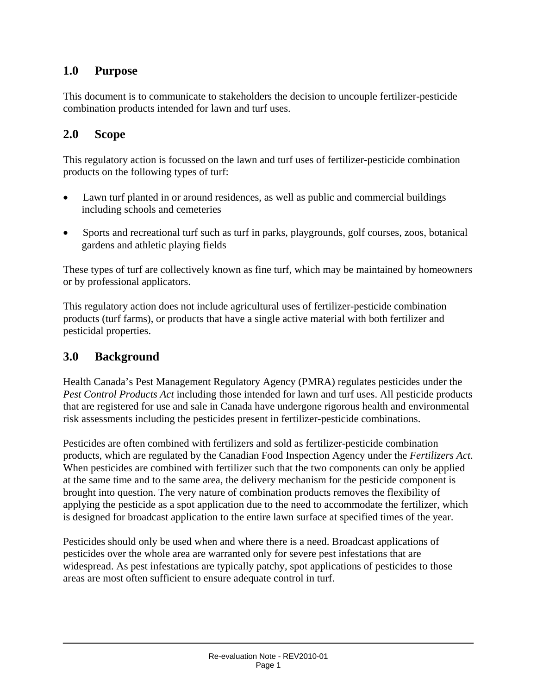### **1.0 Purpose**

This document is to communicate to stakeholders the decision to uncouple fertilizer-pesticide combination products intended for lawn and turf uses.

### **2.0 Scope**

This regulatory action is focussed on the lawn and turf uses of fertilizer-pesticide combination products on the following types of turf:

- Lawn turf planted in or around residences, as well as public and commercial buildings including schools and cemeteries
- Sports and recreational turf such as turf in parks, playgrounds, golf courses, zoos, botanical gardens and athletic playing fields

These types of turf are collectively known as fine turf, which may be maintained by homeowners or by professional applicators.

This regulatory action does not include agricultural uses of fertilizer-pesticide combination products (turf farms), or products that have a single active material with both fertilizer and pesticidal properties.

#### **3.0 Background**

Health Canada's Pest Management Regulatory Agency (PMRA) regulates pesticides under the *Pest Control Products Act* including those intended for lawn and turf uses. All pesticide products that are registered for use and sale in Canada have undergone rigorous health and environmental risk assessments including the pesticides present in fertilizer-pesticide combinations.

Pesticides are often combined with fertilizers and sold as fertilizer-pesticide combination products, which are regulated by the Canadian Food Inspection Agency under the *Fertilizers Act*. When pesticides are combined with fertilizer such that the two components can only be applied at the same time and to the same area, the delivery mechanism for the pesticide component is brought into question. The very nature of combination products removes the flexibility of applying the pesticide as a spot application due to the need to accommodate the fertilizer, which is designed for broadcast application to the entire lawn surface at specified times of the year.

Pesticides should only be used when and where there is a need. Broadcast applications of pesticides over the whole area are warranted only for severe pest infestations that are widespread. As pest infestations are typically patchy, spot applications of pesticides to those areas are most often sufficient to ensure adequate control in turf.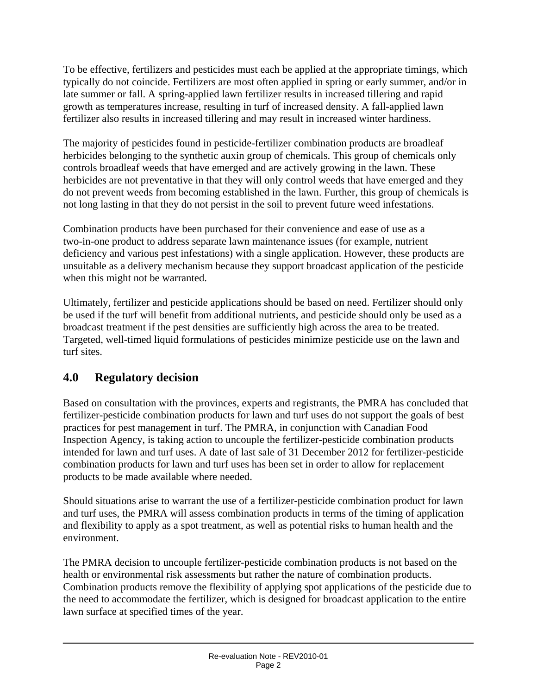To be effective, fertilizers and pesticides must each be applied at the appropriate timings, which typically do not coincide. Fertilizers are most often applied in spring or early summer, and/or in late summer or fall. A spring-applied lawn fertilizer results in increased tillering and rapid growth as temperatures increase, resulting in turf of increased density. A fall-applied lawn fertilizer also results in increased tillering and may result in increased winter hardiness.

The majority of pesticides found in pesticide-fertilizer combination products are broadleaf herbicides belonging to the synthetic auxin group of chemicals. This group of chemicals only controls broadleaf weeds that have emerged and are actively growing in the lawn. These herbicides are not preventative in that they will only control weeds that have emerged and they do not prevent weeds from becoming established in the lawn. Further, this group of chemicals is not long lasting in that they do not persist in the soil to prevent future weed infestations.

Combination products have been purchased for their convenience and ease of use as a two-in-one product to address separate lawn maintenance issues (for example, nutrient deficiency and various pest infestations) with a single application. However, these products are unsuitable as a delivery mechanism because they support broadcast application of the pesticide when this might not be warranted.

Ultimately, fertilizer and pesticide applications should be based on need. Fertilizer should only be used if the turf will benefit from additional nutrients, and pesticide should only be used as a broadcast treatment if the pest densities are sufficiently high across the area to be treated. Targeted, well-timed liquid formulations of pesticides minimize pesticide use on the lawn and turf sites.

## **4.0 Regulatory decision**

Based on consultation with the provinces, experts and registrants, the PMRA has concluded that fertilizer-pesticide combination products for lawn and turf uses do not support the goals of best practices for pest management in turf. The PMRA, in conjunction with Canadian Food Inspection Agency, is taking action to uncouple the fertilizer-pesticide combination products intended for lawn and turf uses. A date of last sale of 31 December 2012 for fertilizer-pesticide combination products for lawn and turf uses has been set in order to allow for replacement products to be made available where needed.

Should situations arise to warrant the use of a fertilizer-pesticide combination product for lawn and turf uses, the PMRA will assess combination products in terms of the timing of application and flexibility to apply as a spot treatment, as well as potential risks to human health and the environment.

The PMRA decision to uncouple fertilizer-pesticide combination products is not based on the health or environmental risk assessments but rather the nature of combination products. Combination products remove the flexibility of applying spot applications of the pesticide due to the need to accommodate the fertilizer, which is designed for broadcast application to the entire lawn surface at specified times of the year.